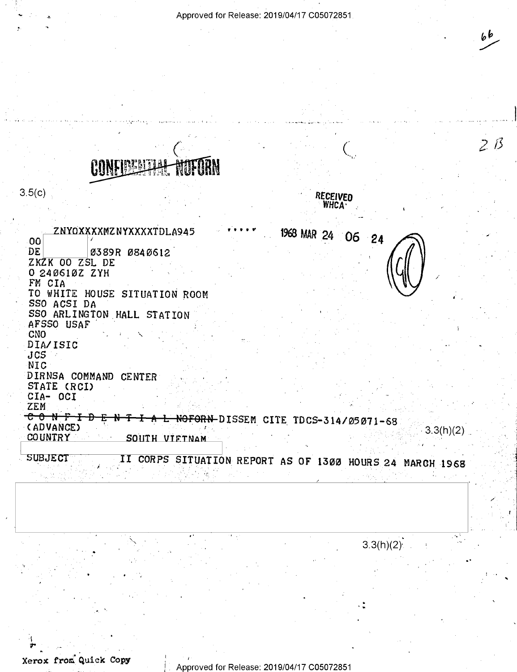Approved for Release: 2019/04/17 C05072851

 $3.5(c)$ 

ZNYOXXXXMZNYXXXXTDLA945 00 DE 0389R 0840612 ZKZK OO ZSL DE 0 240610Z ZYH FM CIA TO WHITE HOUSE SITUATION ROOM SSO ACSI DA SSO ARLINGTON HALL STATION AFSSO USAF CNO DIA/ISIC  $JCS$ NIC DIRNSA COMMAND CENTER STATE (RCI) CIA- OCI ZEM <del>C 0 N F I D E</del> (ADVANCE)

**RECEIVED WHCA** 

1968 MAR 24 06 24

N T I A L NOFORN-DISSEM CITE TDCS-314/05071-68  $3.3(h)(2)$ **COUNTRY** SOUTH VIETNAM

**SUBJECT** II CORPS SITUATION REPORT AS OF 1300 HOURS 24 MARCH 1968

 $3.3(h)(2)$ 

66

 $2B$ 

Xerox from Quick Copy

Approved for Release: 2019/04/17 C05072851